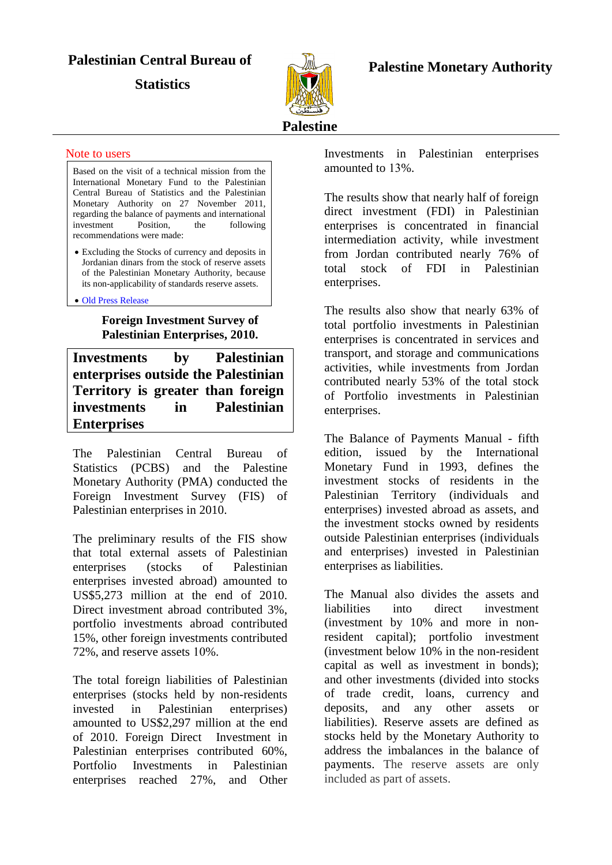# **Palestinian Central Bureau of**

**Statistics** 



## **Palestine Monetary Authority**

#### Note to users

Based on the visit of a technical mission from the International Monetary Fund to the Palestinian Central Bureau of Statistics and the Palestinian Monetary Authority on 27 November 2011, regarding the balance of payments and international investment Position, the following recommendations were made:

 Excluding the Stocks of currency and deposits in Jordanian dinars from the stock of reserve assets of the Palestinian Monetary Authority, because its non-applicability of standards reserve assets.

#### Old [Press Release](FIS2010Eng01Nov.pdf)

## **Foreign Investment Survey of Palestinian Enterprises, 2010.**

**Investments by Palestinian enterprises outside the Palestinian Territory is greater than foreign investments in Palestinian Enterprises**

The Palestinian Central Bureau of Statistics (PCBS) and the Palestine Monetary Authority (PMA) conducted the Foreign Investment Survey (FIS) of Palestinian enterprises in 2010.

The preliminary results of the FIS show that total external assets of Palestinian enterprises (stocks of Palestinian enterprises invested abroad) amounted to US\$5,273 million at the end of 2010. Direct investment abroad contributed 3%, portfolio investments abroad contributed 15%, other foreign investments contributed  $72\%$ , and reserve assets  $10\%$ .

The total foreign liabilities of Palestinian enterprises (stocks held by non-residents invested in Palestinian enterprises) amounted to US\$2,297 million at the end of 2010. Foreign Direct Investment in Palestinian enterprises contributed 60%, Portfolio Investments in Palestinian enterprises reached 27%, and Other

Investments in Palestinian enterprises amounted to 13%.

The results show that nearly half of foreign direct investment (FDI) in Palestinian enterprises is concentrated in financial intermediation activity, while investment from Jordan contributed nearly 76% of total stock of FDI in Palestinian enterprises.

The results also show that nearly 63% of total portfolio investments in Palestinian enterprises is concentrated in services and transport, and storage and communications activities, while investments from Jordan contributed nearly 53% of the total stock of Portfolio investments in Palestinian enterprises.

The Balance of Payments Manual - fifth edition, issued by the International Monetary Fund in 1993, defines the investment stocks of residents in the Palestinian Territory (individuals and enterprises) invested abroad as assets, and the investment stocks owned by residents outside Palestinian enterprises (individuals and enterprises) invested in Palestinian enterprises as liabilities.

The Manual also divides the assets and liabilities into direct investment (investment by 10% and more in nonresident capital); portfolio investment (investment below 10% in the non-resident capital as well as investment in bonds); and other investments (divided into stocks of trade credit, loans, currency and deposits, and any other assets or liabilities). Reserve assets are defined as stocks held by the Monetary Authority to address the imbalances in the balance of payments. The reserve assets are only included as part of assets.